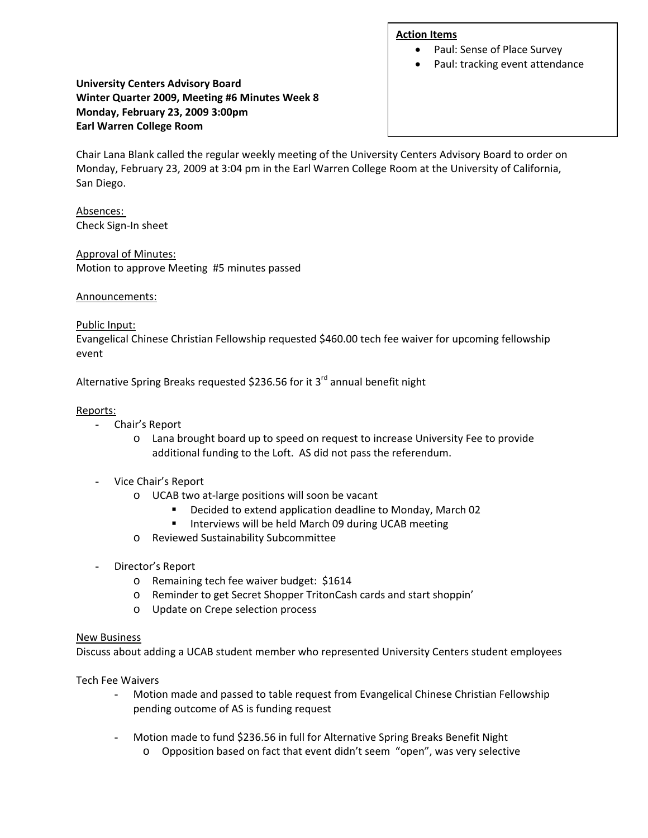#### **Action Items**

- Paul: Sense of Place Survey
- Paul: tracking event attendance

## **University Centers Advisory Board Winter Quarter 2009, Meeting #6 Minutes Week 8 Monday, February 23, 2009 3:00pm Earl Warren College Room**

Chair Lana Blank called the regular weekly meeting of the University Centers Advisory Board to order on Monday, February 23, 2009 at 3:04 pm in the Earl Warren College Room at the University of California, San Diego.

Absences: Check Sign‐In sheet

#### Approval of Minutes:

Motion to approve Meeting #5 minutes passed

## Announcements:

#### Public Input:

Evangelical Chinese Christian Fellowship requested \$460.00 tech fee waiver for upcoming fellowship event

Alternative Spring Breaks requested \$236.56 for it 3<sup>rd</sup> annual benefit night

## Reports:

- Chair's Report
	- o Lana brought board up to speed on request to increase University Fee to provide additional funding to the Loft. AS did not pass the referendum.
- Vice Chair's Report
	- o UCAB two at‐large positions will soon be vacant
		- Decided to extend application deadline to Monday, March 02
		- **Interviews will be held March 09 during UCAB meeting**
	- o Reviewed Sustainability Subcommittee
- Director's Report
	- o Remaining tech fee waiver budget: \$1614
	- o Reminder to get Secret Shopper TritonCash cards and start shoppin'
	- o Update on Crepe selection process

#### New Business

Discuss about adding a UCAB student member who represented University Centers student employees

Tech Fee Waivers

- Motion made and passed to table request from Evangelical Chinese Christian Fellowship pending outcome of AS is funding request
- Motion made to fund \$236.56 in full for Alternative Spring Breaks Benefit Night
	- o Opposition based on fact that event didn't seem "open", was very selective